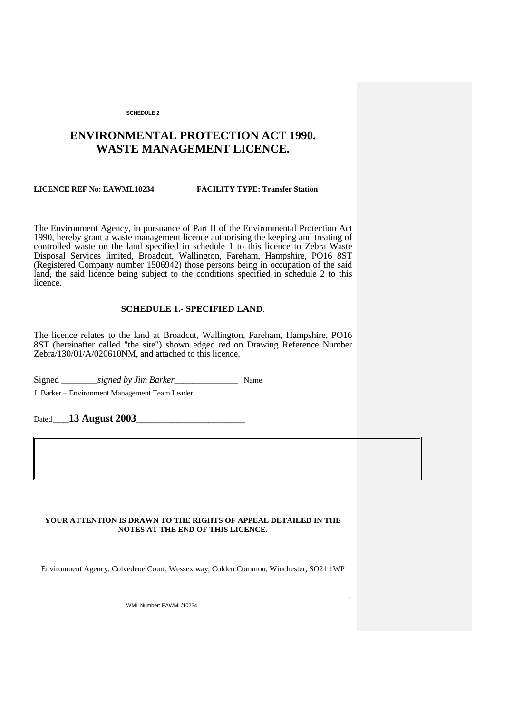# **ENVIRONMENTAL PROTECTION ACT 1990. WASTE MANAGEMENT LICENCE.**

# **LICENCE REF No: EAWML10234 FACILITY TYPE: Transfer Station**

The Environment Agency, in pursuance of Part II of the Environmental Protection Act 1990, hereby grant a waste management licence authorising the keeping and treating of controlled waste on the land specified in schedule 1 to this licence to Zebra Waste Disposal Services limited, Broadcut, Wallington, Fareham, Hampshire, PO16 8ST (Registered Company number 1506942) those persons being in occupation of the said land, the said licence being subject to the conditions specified in schedule 2 to this licence.

# **SCHEDULE 1.- SPECIFIED LAND**.

The licence relates to the land at Broadcut, Wallington, Fareham, Hampshire, PO16 8ST (hereinafter called "the site") shown edged red on Drawing Reference Number Zebra/130/01/A/020610NM, and attached to this licence.

Signed Signed by *Jim Barker* Name

J. Barker – Environment Management Team Leader

Dated **\_\_\_13 August 2003\_\_\_\_\_\_\_\_\_\_\_\_\_\_\_\_\_\_\_\_\_**

# **YOUR ATTENTION IS DRAWN TO THE RIGHTS OF APPEAL DETAILED IN THE NOTES AT THE END OF THIS LICENCE.**

Environment Agency, Colvedene Court, Wessex way, Colden Common, Winchester, SO21 1WP

1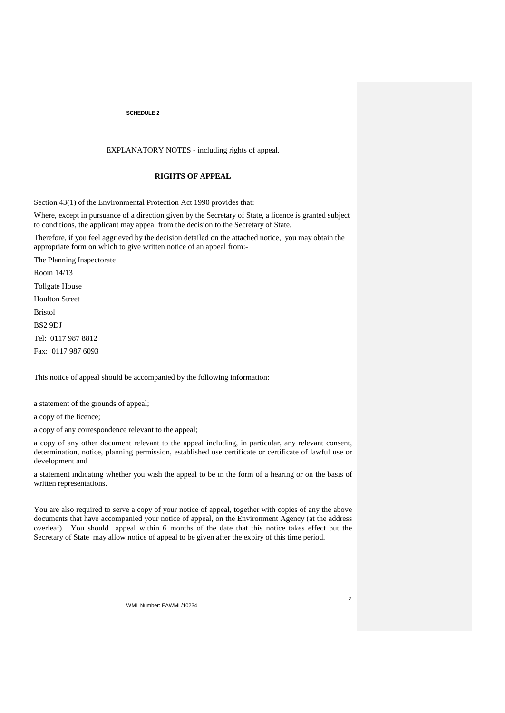# EXPLANATORY NOTES - including rights of appeal.

# **RIGHTS OF APPEAL**

Section 43(1) of the Environmental Protection Act 1990 provides that:

Where, except in pursuance of a direction given by the Secretary of State, a licence is granted subject to conditions, the applicant may appeal from the decision to the Secretary of State.

Therefore, if you feel aggrieved by the decision detailed on the attached notice, you may obtain the appropriate form on which to give written notice of an appeal from:-

The Planning Inspectorate Room 14/13 Tollgate House Houlton Street Bristol BS2 9DJ Tel: 0117 987 8812 Fax: 0117 987 6093

This notice of appeal should be accompanied by the following information:

a statement of the grounds of appeal;

a copy of the licence;

a copy of any correspondence relevant to the appeal;

a copy of any other document relevant to the appeal including, in particular, any relevant consent, determination, notice, planning permission, established use certificate or certificate of lawful use or development and

a statement indicating whether you wish the appeal to be in the form of a hearing or on the basis of written representations.

You are also required to serve a copy of your notice of appeal, together with copies of any the above documents that have accompanied your notice of appeal, on the Environment Agency (at the address overleaf). You should appeal within 6 months of the date that this notice takes effect but the Secretary of State may allow notice of appeal to be given after the expiry of this time period.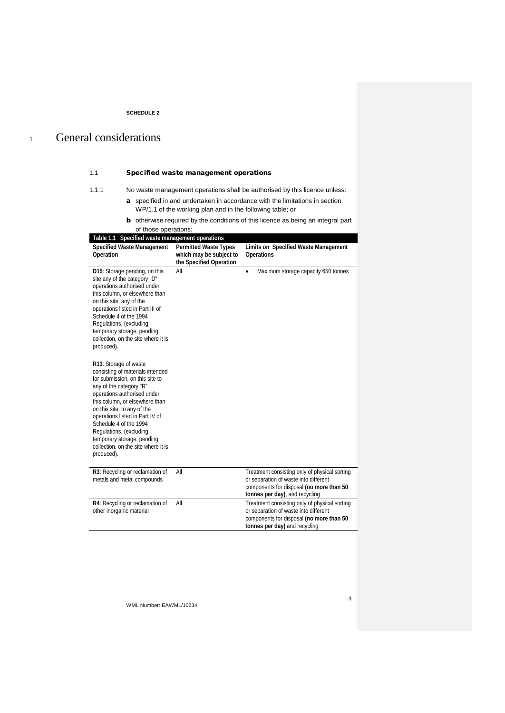# <sup>1</sup> General considerations

# 1.1 Specified waste management operations

1.1.1 No waste management operations shall be authorised by this licence unless:

- a specified in and undertaken in accordance with the limitations in section WP/1.1 of the working plan and in the following table; or
- **b** otherwise required by the conditions of this licence as being an integral part of those operations;

| Table 1.1 Specified waste management operations                                                                                                                                                                                                                                                                                                                                                    |                                                                                    |                                                                                                                                                                      |  |
|----------------------------------------------------------------------------------------------------------------------------------------------------------------------------------------------------------------------------------------------------------------------------------------------------------------------------------------------------------------------------------------------------|------------------------------------------------------------------------------------|----------------------------------------------------------------------------------------------------------------------------------------------------------------------|--|
| <b>Specified Waste Management</b><br>Operation                                                                                                                                                                                                                                                                                                                                                     | <b>Permitted Waste Types</b><br>which may be subject to<br>the Specified Operation | Limits on Specified Waste Management<br><b>Operations</b>                                                                                                            |  |
| D15: Storage pending, on this<br>site any of the category "D"<br>operations authorised under<br>this column, or elsewhere than<br>on this site, any of the<br>operations listed in Part III of<br>Schedule 4 of the 1994<br>Regulations, (excluding<br>temporary storage, pending<br>collection, on the site where it is<br>produced).                                                             | All                                                                                | Maximum storage capacity 650 tonnes<br>$\bullet$                                                                                                                     |  |
| R13: Storage of waste<br>consisting of materials intended<br>for submission, on this site to<br>any of the category "R"<br>operations authorised under<br>this column, or elsewhere than<br>on this site, to any of the<br>operations listed in Part IV of<br>Schedule 4 of the 1994<br>Regulations, (excluding<br>temporary storage, pending<br>collection, on the site where it is<br>produced). |                                                                                    |                                                                                                                                                                      |  |
| R3: Recycling or reclamation of<br>metals and metal compounds                                                                                                                                                                                                                                                                                                                                      | All                                                                                | Treatment consisting only of physical sorting<br>or separation of waste into different<br>components for disposal (no more than 50<br>tonnes per day), and recycling |  |
| R4: Recycling or reclamation of<br>other inorganic material                                                                                                                                                                                                                                                                                                                                        | All                                                                                | Treatment consisting only of physical sorting<br>or separation of waste into different<br>components for disposal (no more than 50<br>tonnes per day) and recycling  |  |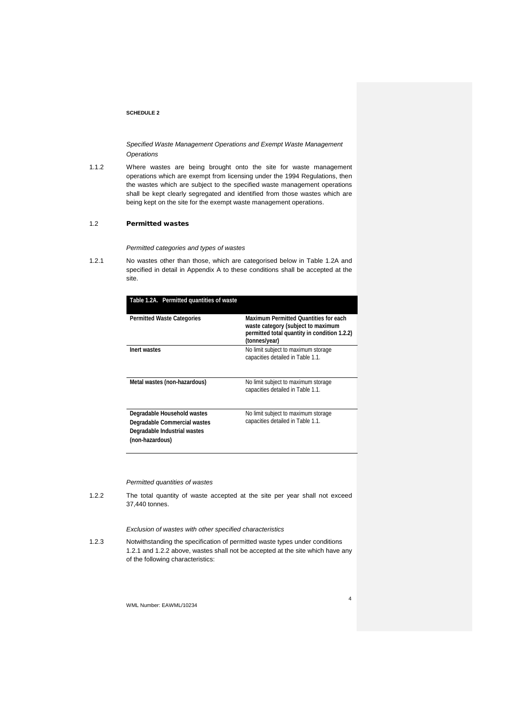*Specified Waste Management Operations and Exempt Waste Management Operations*

1.1.2 Where wastes are being brought onto the site for waste management operations which are exempt from licensing under the 1994 Regulations, then the wastes which are subject to the specified waste management operations shall be kept clearly segregated and identified from those wastes which are being kept on the site for the exempt waste management operations.

### 1.2 Permitted wastes

*Permitted categories and types of wastes*

1.2.1 No wastes other than those, which are categorised below in Table 1.2A and specified in detail in Appendix A to these conditions shall be accepted at the site.

| Table 1.2A. Permitted quantities of waste                                                                      |                                                                                                                                              |
|----------------------------------------------------------------------------------------------------------------|----------------------------------------------------------------------------------------------------------------------------------------------|
| <b>Permitted Waste Categories</b>                                                                              | Maximum Permitted Ouantities for each<br>waste category (subject to maximum<br>permitted total quantity in condition 1.2.2)<br>(tonnes/year) |
| Inert wastes                                                                                                   | No limit subject to maximum storage<br>capacities detailed in Table 1.1.                                                                     |
| Metal wastes (non-hazardous)                                                                                   | No limit subject to maximum storage<br>capacities detailed in Table 1.1.                                                                     |
| Degradable Household wastes<br>Degradable Commercial wastes<br>Degradable Industrial wastes<br>(non-hazardous) | No limit subject to maximum storage<br>capacities detailed in Table 1.1.                                                                     |

#### *Permitted quantities of wastes*

1.2.2 The total quantity of waste accepted at the site per year shall not exceed 37,440 tonnes.

# *Exclusion of wastes with other specified characteristics*

1.2.3 Notwithstanding the specification of permitted waste types under conditions 1.2.1 and 1.2.2 above, wastes shall not be accepted at the site which have any of the following characteristics: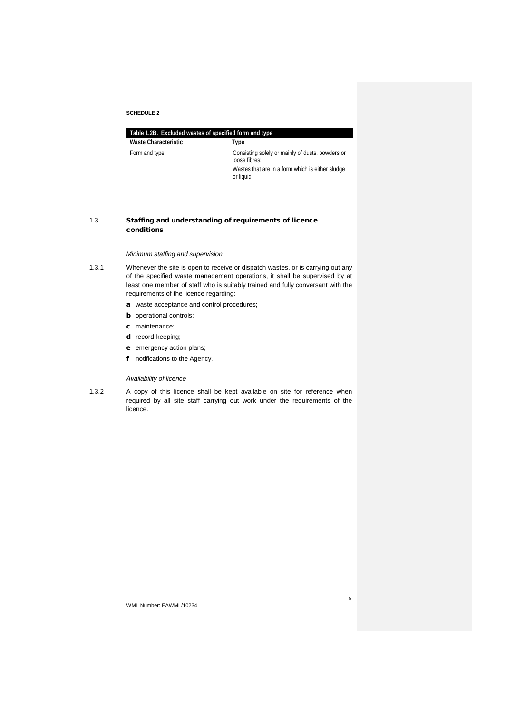| Table 1.2B. Excluded wastes of specified form and type |                                                                   |  |
|--------------------------------------------------------|-------------------------------------------------------------------|--|
| Waste Characteristic                                   | Type                                                              |  |
| Form and type:                                         | Consisting solely or mainly of dusts, powders or<br>loose fibres: |  |
|                                                        | Wastes that are in a form which is either sludge<br>or liquid.    |  |

# 1.3 Staffing and understanding of requirements of licence conditions

# *Minimum staffing and supervision*

- 1.3.1 Whenever the site is open to receive or dispatch wastes, or is carrying out any of the specified waste management operations, it shall be supervised by at least one member of staff who is suitably trained and fully conversant with the requirements of the licence regarding:
	- a waste acceptance and control procedures;
	- **b** operational controls;
	- c maintenance;
	- d record-keeping;
	- e emergency action plans;
	- f notifications to the Agency.

# *Availability of licence*

1.3.2 A copy of this licence shall be kept available on site for reference when required by all site staff carrying out work under the requirements of the licence.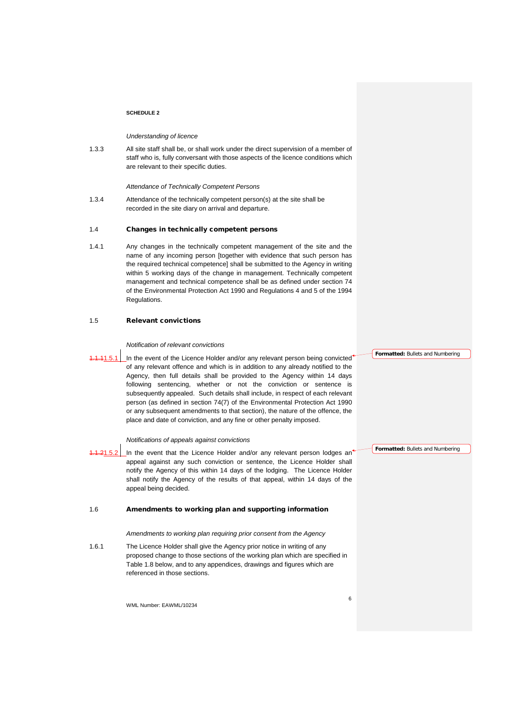#### *Understanding of licence*

1.3.3 All site staff shall be, or shall work under the direct supervision of a member of staff who is, fully conversant with those aspects of the licence conditions which are relevant to their specific duties.

#### *Attendance of Technically Competent Persons*

1.3.4 Attendance of the technically competent person(s) at the site shall be recorded in the site diary on arrival and departure.

#### 1.4 Changes in technically competent persons

1.4.1 Any changes in the technically competent management of the site and the name of any incoming person [together with evidence that such person has the required technical competence] shall be submitted to the Agency in writing within 5 working days of the change in management. Technically competent management and technical competence shall be as defined under section 74 of the Environmental Protection Act 1990 and Regulations 4 and 5 of the 1994 Regulations.

#### 1.5 Relevant convictions

#### *Notification of relevant convictions*

In the event of the Licence Holder and/or any relevant person being convicted of any relevant offence and which is in addition to any already notified to the Agency, then full details shall be provided to the Agency within 14 days following sentencing, whether or not the conviction or sentence is subsequently appealed. Such details shall include, in respect of each relevant person (as defined in section 74(7) of the Environmental Protection Act 1990 or any subsequent amendments to that section), the nature of the offence, the place and date of conviction, and any fine or other penalty imposed.

# *Notifications of appeals against convictions*

In the event that the Licence Holder and/or any relevant person lodges an<sup>1</sup> appeal against any such conviction or sentence, the Licence Holder shall notify the Agency of this within 14 days of the lodging. The Licence Holder shall notify the Agency of the results of that appeal, within 14 days of the appeal being decided.

#### 1.6 Amendments to working plan and supporting information

*Amendments to working plan requiring prior consent from the Agency*

1.6.1 The Licence Holder shall give the Agency prior notice in writing of any proposed change to those sections of the working plan which are specified in Table 1.8 below, and to any appendices, drawings and figures which are referenced in those sections.

WML Number: EAWML/10234

**Formatted:** Bullets and Numbering

**Formatted:** Bullets and Numbering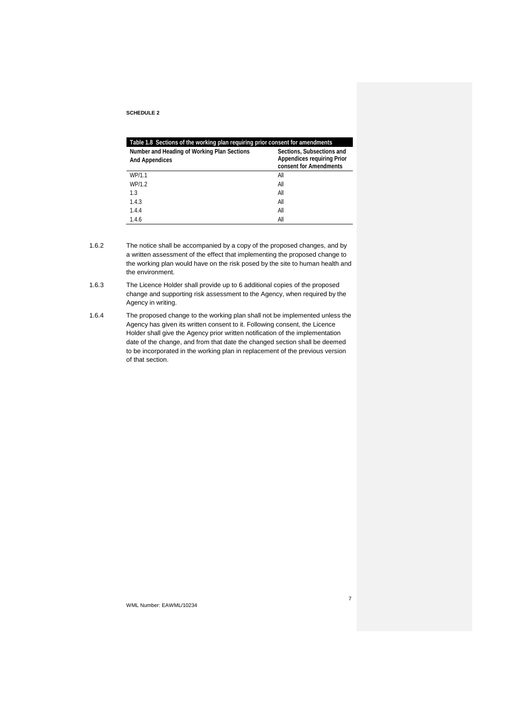| Table 1.8 Sections of the working plan requiring prior consent for amendments |                                                                                          |  |
|-------------------------------------------------------------------------------|------------------------------------------------------------------------------------------|--|
| Number and Heading of Working Plan Sections<br><b>And Appendices</b>          | Sections, Subsections and<br><b>Appendices requiring Prior</b><br>consent for Amendments |  |
| WP/1.1                                                                        | All                                                                                      |  |
| WP/1.2                                                                        | All                                                                                      |  |
| 13                                                                            | All                                                                                      |  |
| 1.4.3                                                                         | All                                                                                      |  |
| 1.4.4                                                                         | All                                                                                      |  |
| 1.4.6                                                                         | Αll                                                                                      |  |

- 1.6.2 The notice shall be accompanied by a copy of the proposed changes, and by a written assessment of the effect that implementing the proposed change to the working plan would have on the risk posed by the site to human health and the environment.
- 1.6.3 The Licence Holder shall provide up to 6 additional copies of the proposed change and supporting risk assessment to the Agency, when required by the Agency in writing.
- 1.6.4 The proposed change to the working plan shall not be implemented unless the Agency has given its written consent to it. Following consent, the Licence Holder shall give the Agency prior written notification of the implementation date of the change, and from that date the changed section shall be deemed to be incorporated in the working plan in replacement of the previous version of that section.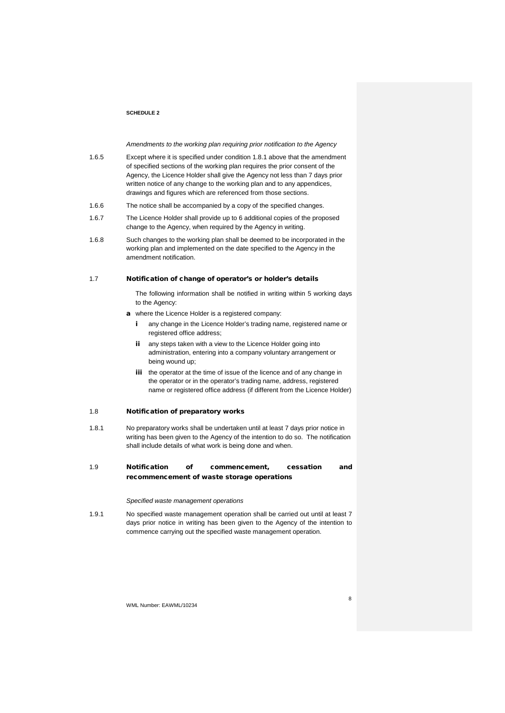*Amendments to the working plan requiring prior notification to the Agency*

- 1.6.5 Except where it is specified under condition 1.8.1 above that the amendment of specified sections of the working plan requires the prior consent of the Agency, the Licence Holder shall give the Agency not less than 7 days prior written notice of any change to the working plan and to any appendices, drawings and figures which are referenced from those sections.
- 1.6.6 The notice shall be accompanied by a copy of the specified changes.
- 1.6.7 The Licence Holder shall provide up to 6 additional copies of the proposed change to the Agency, when required by the Agency in writing.
- 1.6.8 Such changes to the working plan shall be deemed to be incorporated in the working plan and implemented on the date specified to the Agency in the amendment notification.

#### 1.7 Notification of change of operator's or holder's details

The following information shall be notified in writing within 5 working days to the Agency:

- a where the Licence Holder is a registered company:
	- i any change in the Licence Holder's trading name, registered name or registered office address;
	- ii any steps taken with a view to the Licence Holder going into administration, entering into a company voluntary arrangement or being wound up;
	- iii the operator at the time of issue of the licence and of any change in the operator or in the operator's trading name, address, registered name or registered office address (if different from the Licence Holder)

#### 1.8 Notification of preparatory works

1.8.1 No preparatory works shall be undertaken until at least 7 days prior notice in writing has been given to the Agency of the intention to do so. The notification shall include details of what work is being done and when.

# 1.9 Notification of commencement, cessation and recommencement of waste storage operations

#### *Specified waste management operations*

1.9.1 No specified waste management operation shall be carried out until at least 7 days prior notice in writing has been given to the Agency of the intention to commence carrying out the specified waste management operation.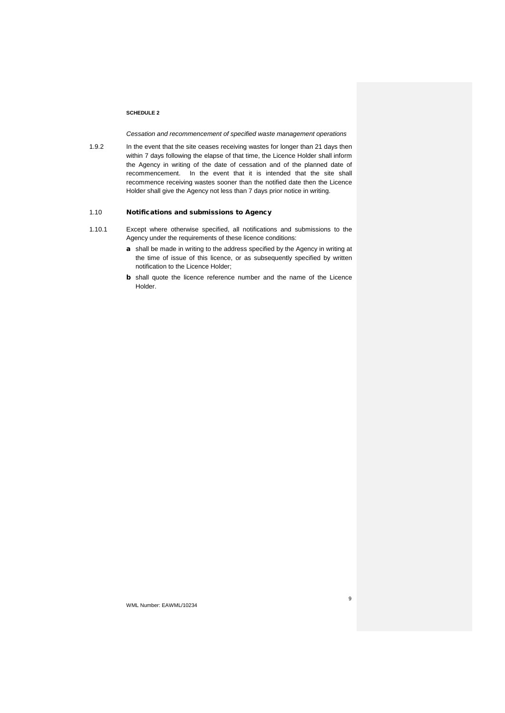*Cessation and recommencement of specified waste management operations* 

1.9.2 In the event that the site ceases receiving wastes for longer than 21 days then within 7 days following the elapse of that time, the Licence Holder shall inform the Agency in writing of the date of cessation and of the planned date of recommencement. In the event that it is intended that the site shall recommence receiving wastes sooner than the notified date then the Licence Holder shall give the Agency not less than 7 days prior notice in writing.

# 1.10 Notifications and submissions to Agency

- 1.10.1 Except where otherwise specified, all notifications and submissions to the Agency under the requirements of these licence conditions:
	- a shall be made in writing to the address specified by the Agency in writing at the time of issue of this licence, or as subsequently specified by written notification to the Licence Holder;
	- b shall quote the licence reference number and the name of the Licence Holder.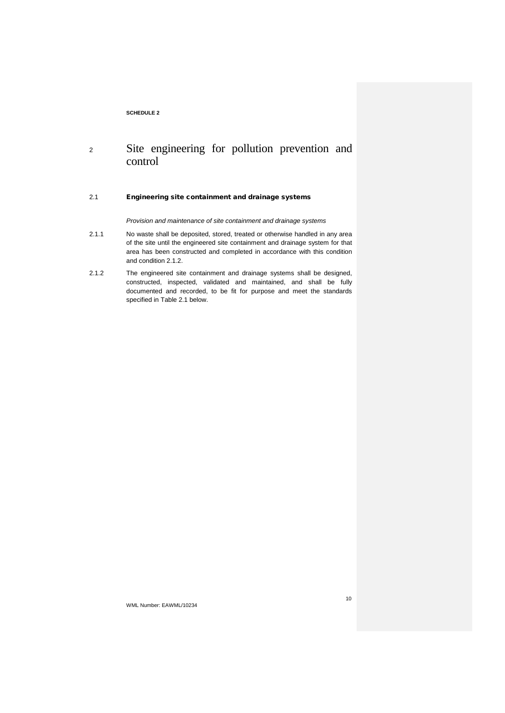# <sup>2</sup> Site engineering for pollution prevention and control

# 2.1 Engineering site containment and drainage systems

*Provision and maintenance of site containment and drainage systems*

- 2.1.1 No waste shall be deposited, stored, treated or otherwise handled in any area of the site until the engineered site containment and drainage system for that area has been constructed and completed in accordance with this condition and condition 2.1.2.
- 2.1.2 The engineered site containment and drainage systems shall be designed, constructed, inspected, validated and maintained, and shall be fully documented and recorded, to be fit for purpose and meet the standards specified in Table 2.1 below.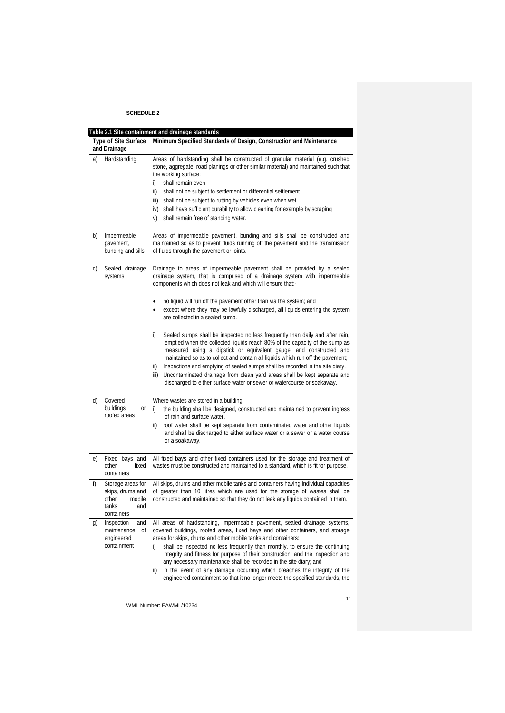|    | Table 2.1 Site containment and drainage standards                                      |                                                                                                                                                                                                                                                                                                                                                                                                                                                                                                      |  |  |
|----|----------------------------------------------------------------------------------------|------------------------------------------------------------------------------------------------------------------------------------------------------------------------------------------------------------------------------------------------------------------------------------------------------------------------------------------------------------------------------------------------------------------------------------------------------------------------------------------------------|--|--|
|    | Type of Site Surface<br>and Drainage                                                   | Minimum Specified Standards of Design, Construction and Maintenance                                                                                                                                                                                                                                                                                                                                                                                                                                  |  |  |
| a) | Hardstanding                                                                           | Areas of hardstanding shall be constructed of granular material (e.g. crushed<br>stone, aggregate, road planings or other similar material) and maintained such that<br>the working surface:<br>shall remain even<br>i)<br>shall not be subject to settlement or differential settlement<br>ii)<br>shall not be subject to rutting by vehicles even when wet<br>iii)<br>iv) shall have sufficient durability to allow cleaning for example by scraping<br>shall remain free of standing water.<br>V) |  |  |
| b) | Impermeable<br>pavement,<br>bunding and sills                                          | Areas of impermeable pavement, bunding and sills shall be constructed and<br>maintained so as to prevent fluids running off the pavement and the transmission<br>of fluids through the pavement or joints.                                                                                                                                                                                                                                                                                           |  |  |
| C) | Sealed drainage<br>systems                                                             | Drainage to areas of impermeable pavement shall be provided by a sealed<br>drainage system, that is comprised of a drainage system with impermeable<br>components which does not leak and which will ensure that:-                                                                                                                                                                                                                                                                                   |  |  |
|    |                                                                                        | no liquid will run off the pavement other than via the system; and<br>except where they may be lawfully discharged, all liquids entering the system<br>are collected in a sealed sump.                                                                                                                                                                                                                                                                                                               |  |  |
|    |                                                                                        | Sealed sumps shall be inspected no less frequently than daily and after rain,<br>i)<br>emptied when the collected liquids reach 80% of the capacity of the sump as<br>measured using a dipstick or equivalent gauge, and constructed and<br>maintained so as to collect and contain all liquids which run off the pavement;                                                                                                                                                                          |  |  |
|    |                                                                                        | Inspections and emptying of sealed sumps shall be recorded in the site diary.<br>ii)<br>Uncontaminated drainage from clean yard areas shall be kept separate and<br>iii)<br>discharged to either surface water or sewer or watercourse or soakaway.                                                                                                                                                                                                                                                  |  |  |
| d) | Covered                                                                                | Where wastes are stored in a building:                                                                                                                                                                                                                                                                                                                                                                                                                                                               |  |  |
|    | buildings<br>0ľ<br>roofed areas                                                        | the building shall be designed, constructed and maintained to prevent ingress<br>i)<br>of rain and surface water.                                                                                                                                                                                                                                                                                                                                                                                    |  |  |
|    |                                                                                        | roof water shall be kept separate from contaminated water and other liquids<br>ii)<br>and shall be discharged to either surface water or a sewer or a water course<br>or a soakaway.                                                                                                                                                                                                                                                                                                                 |  |  |
| e) | Fixed bays and<br>other<br>fixed<br>containers                                         | All fixed bays and other fixed containers used for the storage and treatment of<br>wastes must be constructed and maintained to a standard, which is fit for purpose.                                                                                                                                                                                                                                                                                                                                |  |  |
| f) | Storage areas for<br>skips, drums and<br>mobile<br>other<br>tanks<br>and<br>containers | All skips, drums and other mobile tanks and containers having individual capacities<br>of greater than 10 litres which are used for the storage of wastes shall be<br>constructed and maintained so that they do not leak any liquids contained in them.                                                                                                                                                                                                                                             |  |  |
| g) | Inspection<br>and<br>maintenance<br>Οf<br>engineered<br>containment                    | All areas of hardstanding, impermeable pavement, sealed drainage systems,<br>covered buildings, roofed areas, fixed bays and other containers, and storage<br>areas for skips, drums and other mobile tanks and containers:<br>i)<br>shall be inspected no less frequently than monthly, to ensure the continuing                                                                                                                                                                                    |  |  |
|    |                                                                                        | integrity and fitness for purpose of their construction, and the inspection and<br>any necessary maintenance shall be recorded in the site diary; and                                                                                                                                                                                                                                                                                                                                                |  |  |
|    |                                                                                        | in the event of any damage occurring which breaches the integrity of the<br>ii)<br>engineered containment so that it no longer meets the specified standards, the                                                                                                                                                                                                                                                                                                                                    |  |  |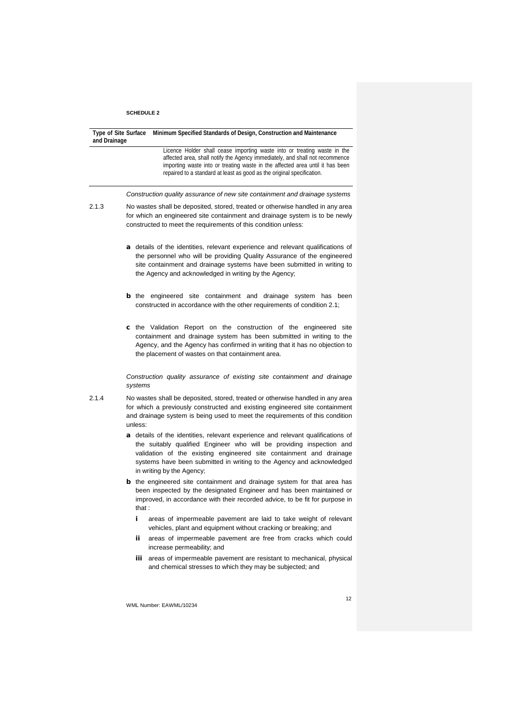| and Drainage | Minimum Specified Standards of Design, Construction and Maintenance<br><b>Type of Site Surface</b>                                                                                                                                                                                                                                   |
|--------------|--------------------------------------------------------------------------------------------------------------------------------------------------------------------------------------------------------------------------------------------------------------------------------------------------------------------------------------|
|              | Licence Holder shall cease importing waste into or treating waste in the<br>affected area, shall notify the Agency immediately, and shall not recommence<br>importing waste into or treating waste in the affected area until it has been<br>repaired to a standard at least as good as the original specification.                  |
|              | Construction quality assurance of new site containment and drainage systems                                                                                                                                                                                                                                                          |
| 2.1.3        | No wastes shall be deposited, stored, treated or otherwise handled in any area<br>for which an engineered site containment and drainage system is to be newly<br>constructed to meet the requirements of this condition unless:                                                                                                      |
|              | a details of the identities, relevant experience and relevant qualifications of<br>the personnel who will be providing Quality Assurance of the engineered<br>site containment and drainage systems have been submitted in writing to<br>the Agency and acknowledged in writing by the Agency;                                       |
|              | <b>b</b> the engineered site containment and drainage system has been<br>constructed in accordance with the other requirements of condition 2.1;                                                                                                                                                                                     |
|              | <b>c</b> the Validation Report on the construction of the engineered site<br>containment and drainage system has been submitted in writing to the<br>Agency, and the Agency has confirmed in writing that it has no objection to<br>the placement of wastes on that containment area.                                                |
|              | Construction quality assurance of existing site containment and drainage<br>systems                                                                                                                                                                                                                                                  |
| 2.1.4        | No wastes shall be deposited, stored, treated or otherwise handled in any area<br>for which a previously constructed and existing engineered site containment<br>and drainage system is being used to meet the requirements of this condition<br>unless:                                                                             |
|              | a details of the identities, relevant experience and relevant qualifications of<br>the suitably qualified Engineer who will be providing inspection and<br>validation of the existing engineered site containment and drainage<br>systems have been submitted in writing to the Agency and acknowledged<br>in writing by the Agency; |
|              | <b>b</b> the engineered site containment and drainage system for that area has<br>been inspected by the designated Engineer and has been maintained or<br>improved, in accordance with their recorded advice, to be fit for purpose in<br>that :                                                                                     |
|              | areas of impermeable pavement are laid to take weight of relevant<br>i.<br>vehicles, plant and equipment without cracking or breaking; and                                                                                                                                                                                           |
|              | ij.<br>areas of impermeable pavement are free from cracks which could<br>increase permeability; and                                                                                                                                                                                                                                  |
|              | areas of impermeable pavement are resistant to mechanical, physical<br>Ш<br>and chemical stresses to which they may be subjected; and                                                                                                                                                                                                |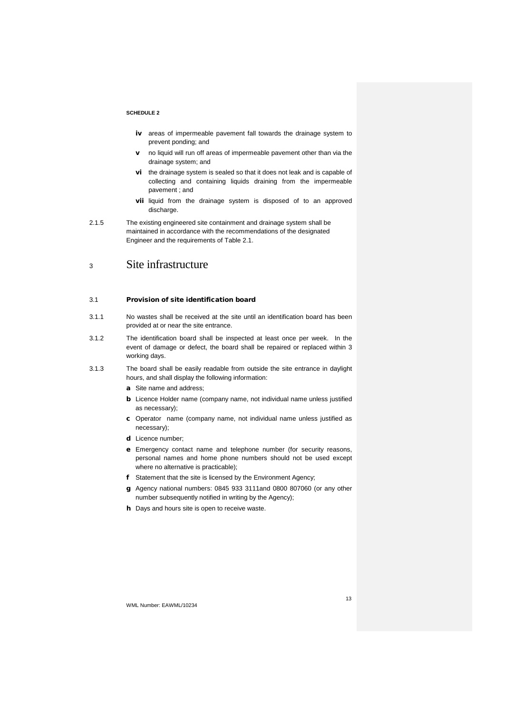- iv areas of impermeable pavement fall towards the drainage system to prevent ponding; and
- v no liquid will run off areas of impermeable pavement other than via the drainage system; and
- vi the drainage system is sealed so that it does not leak and is capable of collecting and containing liquids draining from the impermeable pavement ; and
- vii liquid from the drainage system is disposed of to an approved discharge.
- 2.1.5 The existing engineered site containment and drainage system shall be maintained in accordance with the recommendations of the designated Engineer and the requirements of Table 2.1.

# <sup>3</sup> Site infrastructure

### 3.1 Provision of site identification board

- 3.1.1 No wastes shall be received at the site until an identification board has been provided at or near the site entrance.
- 3.1.2 The identification board shall be inspected at least once per week. In the event of damage or defect, the board shall be repaired or replaced within 3 working days.
- 3.1.3 The board shall be easily readable from outside the site entrance in daylight hours, and shall display the following information:
	- a Site name and address;
	- b Licence Holder name (company name, not individual name unless justified as necessary);
	- c Operator name (company name, not individual name unless justified as necessary);
	- d Licence number;
	- e Emergency contact name and telephone number (for security reasons, personal names and home phone numbers should not be used except where no alternative is practicable);
	- f Statement that the site is licensed by the Environment Agency;
	- g Agency national numbers: 0845 933 3111and 0800 807060 (or any other number subsequently notified in writing by the Agency);
	- **h** Days and hours site is open to receive waste.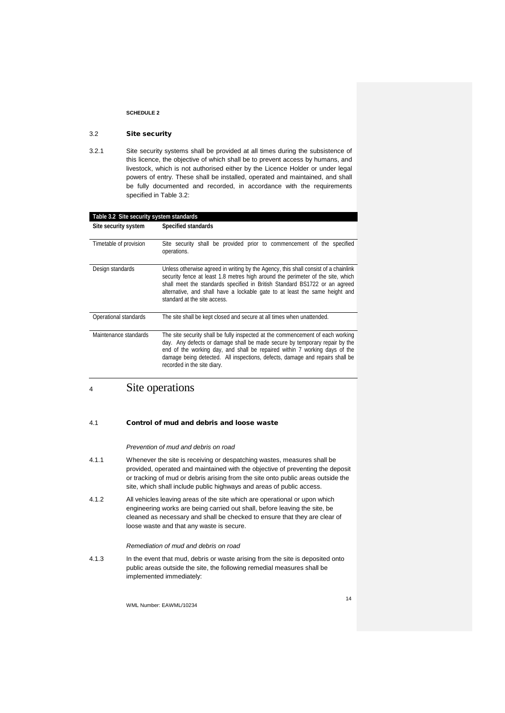# 3.2 Site security

3.2.1 Site security systems shall be provided at all times during the subsistence of this licence, the objective of which shall be to prevent access by humans, and livestock, which is not authorised either by the Licence Holder or under legal powers of entry. These shall be installed, operated and maintained, and shall be fully documented and recorded, in accordance with the requirements specified in Table 3.2:

| Table 3.2 Site security system standards |                                                                                                                                                                                                                                                                                                                                                                     |  |
|------------------------------------------|---------------------------------------------------------------------------------------------------------------------------------------------------------------------------------------------------------------------------------------------------------------------------------------------------------------------------------------------------------------------|--|
| Site security system                     | Specified standards                                                                                                                                                                                                                                                                                                                                                 |  |
| Timetable of provision                   | Site security shall be provided prior to commencement of the specified<br>operations.                                                                                                                                                                                                                                                                               |  |
| Design standards                         | Unless otherwise agreed in writing by the Agency, this shall consist of a chainlink<br>security fence at least 1.8 metres high around the perimeter of the site, which<br>shall meet the standards specified in British Standard BS1722 or an agreed<br>alternative, and shall have a lockable gate to at least the same height and<br>standard at the site access. |  |
| Operational standards                    | The site shall be kept closed and secure at all times when unattended.                                                                                                                                                                                                                                                                                              |  |
| Maintenance standards                    | The site security shall be fully inspected at the commencement of each working<br>day. Any defects or damage shall be made secure by temporary repair by the<br>end of the working day, and shall be repaired within 7 working days of the<br>damage being detected. All inspections, defects, damage and repairs shall be<br>recorded in the site diary.           |  |

# <sup>4</sup> Site operations

#### 4.1 Control of mud and debris and loose waste

#### *Prevention of mud and debris on road*

- 4.1.1 Whenever the site is receiving or despatching wastes, measures shall be provided, operated and maintained with the objective of preventing the deposit or tracking of mud or debris arising from the site onto public areas outside the site, which shall include public highways and areas of public access.
- 4.1.2 All vehicles leaving areas of the site which are operational or upon which engineering works are being carried out shall, before leaving the site, be cleaned as necessary and shall be checked to ensure that they are clear of loose waste and that any waste is secure.

#### *Remediation of mud and debris on road*

4.1.3 In the event that mud, debris or waste arising from the site is deposited onto public areas outside the site, the following remedial measures shall be implemented immediately: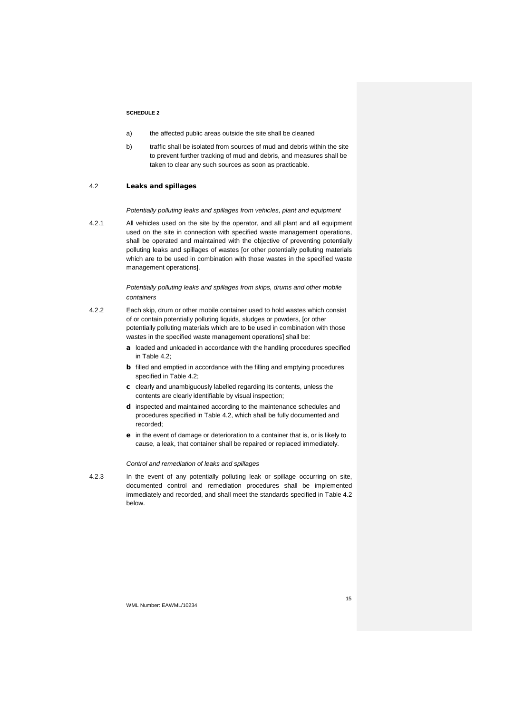- a) the affected public areas outside the site shall be cleaned
- b) traffic shall be isolated from sources of mud and debris within the site to prevent further tracking of mud and debris, and measures shall be taken to clear any such sources as soon as practicable.

### 4.2 Leaks and spillages

*Potentially polluting leaks and spillages from vehicles, plant and equipment*

4.2.1 All vehicles used on the site by the operator, and all plant and all equipment used on the site in connection with specified waste management operations, shall be operated and maintained with the objective of preventing potentially polluting leaks and spillages of wastes [or other potentially polluting materials which are to be used in combination with those wastes in the specified waste management operations].

> *Potentially polluting leaks and spillages from skips, drums and other mobile containers*

- 4.2.2 Each skip, drum or other mobile container used to hold wastes which consist of or contain potentially polluting liquids, sludges or powders, [or other potentially polluting materials which are to be used in combination with those wastes in the specified waste management operations] shall be:
	- a loaded and unloaded in accordance with the handling procedures specified in Table 4.2;
	- **b** filled and emptied in accordance with the filling and emptying procedures specified in Table 4.2;
	- c clearly and unambiguously labelled regarding its contents, unless the contents are clearly identifiable by visual inspection;
	- d inspected and maintained according to the maintenance schedules and procedures specified in Table 4.2, which shall be fully documented and recorded;
	- e in the event of damage or deterioration to a container that is, or is likely to cause, a leak, that container shall be repaired or replaced immediately.

#### *Control and remediation of leaks and spillages*

4.2.3 In the event of any potentially polluting leak or spillage occurring on site, documented control and remediation procedures shall be implemented immediately and recorded, and shall meet the standards specified in Table 4.2 below.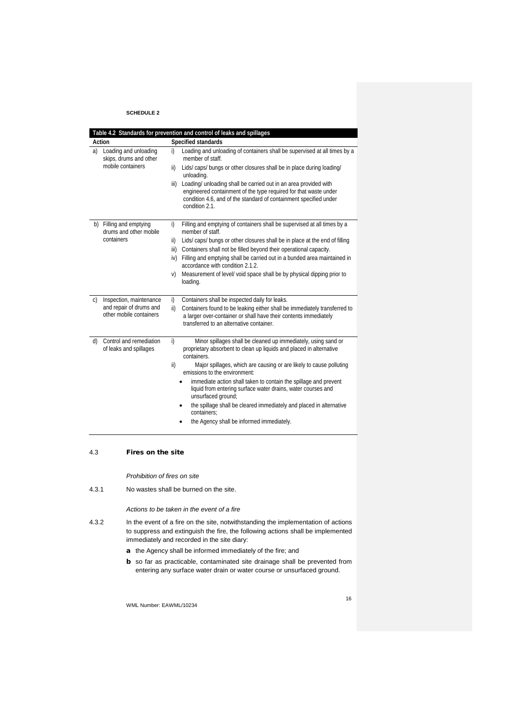|                                                       | Table 4.2 Standards for prevention and control of leaks and spillages |      |                                                                                                                                                                                                                             |  |  |
|-------------------------------------------------------|-----------------------------------------------------------------------|------|-----------------------------------------------------------------------------------------------------------------------------------------------------------------------------------------------------------------------------|--|--|
|                                                       | Action                                                                |      | Specified standards                                                                                                                                                                                                         |  |  |
| Loading and unloading<br>a)<br>skips, drums and other |                                                                       | i)   | Loading and unloading of containers shall be supervised at all times by a<br>member of staff.                                                                                                                               |  |  |
|                                                       | mobile containers                                                     | ii)  | Lids/caps/bungs or other closures shall be in place during loading/<br>unloading.                                                                                                                                           |  |  |
|                                                       |                                                                       | iii) | Loading/ unloading shall be carried out in an area provided with<br>engineered containment of the type required for that waste under<br>condition 4.6, and of the standard of containment specified under<br>condition 2.1. |  |  |
| b)                                                    | Filling and emptying<br>drums and other mobile                        | i)   | Filling and emptying of containers shall be supervised at all times by a<br>member of staff.                                                                                                                                |  |  |
|                                                       | containers                                                            | ii)  | Lids/caps/bungs or other closures shall be in place at the end of filling                                                                                                                                                   |  |  |
|                                                       |                                                                       | iii) | Containers shall not be filled beyond their operational capacity.                                                                                                                                                           |  |  |
|                                                       |                                                                       | iv)  | Filling and emptying shall be carried out in a bunded area maintained in<br>accordance with condition 2.1.2.                                                                                                                |  |  |
|                                                       |                                                                       | V)   | Measurement of level/ void space shall be by physical dipping prior to<br>loading.                                                                                                                                          |  |  |
| C)                                                    | Inspection, maintenance                                               | i)   | Containers shall be inspected daily for leaks.                                                                                                                                                                              |  |  |
|                                                       | and repair of drums and<br>other mobile containers                    | ii)  | Containers found to be leaking either shall be immediately transferred to<br>a larger over-container or shall have their contents immediately<br>transferred to an alternative container.                                   |  |  |
| d)                                                    | Control and remediation<br>of leaks and spillages                     | i)   | Minor spillages shall be cleaned up immediately, using sand or<br>proprietary absorbent to clean up liquids and placed in alternative<br>containers.                                                                        |  |  |
|                                                       |                                                                       | ii)  | Major spillages, which are causing or are likely to cause polluting<br>emissions to the environment:                                                                                                                        |  |  |
|                                                       |                                                                       |      | immediate action shall taken to contain the spillage and prevent<br>liquid from entering surface water drains, water courses and<br>unsurfaced ground;                                                                      |  |  |
|                                                       |                                                                       |      | the spillage shall be cleared immediately and placed in alternative<br>containers:                                                                                                                                          |  |  |
|                                                       |                                                                       |      | the Agency shall be informed immediately.                                                                                                                                                                                   |  |  |

# 4.3 Fires on the site

*Prohibition of fires on site*

4.3.1 No wastes shall be burned on the site.

# *Actions to be taken in the event of a fire*

- 4.3.2 In the event of a fire on the site, notwithstanding the implementation of actions to suppress and extinguish the fire, the following actions shall be implemented immediately and recorded in the site diary:
	- a the Agency shall be informed immediately of the fire; and
	- **b** so far as practicable, contaminated site drainage shall be prevented from entering any surface water drain or water course or unsurfaced ground.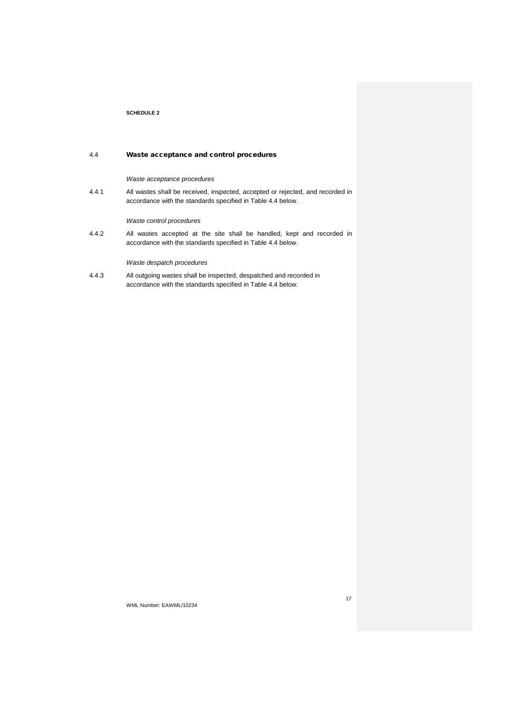# 4.4 Waste acceptance and control procedures

#### *Waste acceptance procedures*

4.4.1 All wastes shall be received, inspected, accepted or rejected, and recorded in accordance with the standards specified in Table 4.4 below.

*Waste control procedures*

4.4.2 All wastes accepted at the site shall be handled, kept and recorded in accordance with the standards specified in Table 4.4 below.

# *Waste despatch procedures*

4.4.3 All outgoing wastes shall be inspected, despatched and recorded in accordance with the standards specified in Table 4.4 below.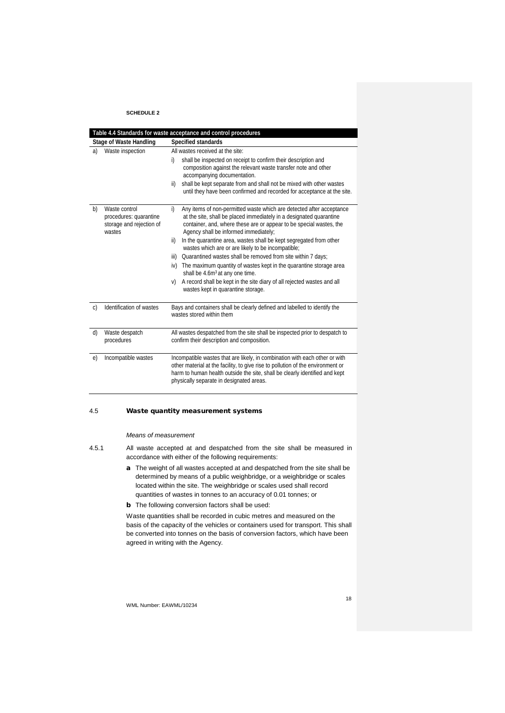|    | Table 4.4 Standards for waste acceptance and control procedures               |                                                                                                                                                                                                                                                                                                                                                                                                                                                                                                                                                                                                                                                                                                                                 |  |  |  |
|----|-------------------------------------------------------------------------------|---------------------------------------------------------------------------------------------------------------------------------------------------------------------------------------------------------------------------------------------------------------------------------------------------------------------------------------------------------------------------------------------------------------------------------------------------------------------------------------------------------------------------------------------------------------------------------------------------------------------------------------------------------------------------------------------------------------------------------|--|--|--|
|    | <b>Stage of Waste Handling</b>                                                | Specified standards                                                                                                                                                                                                                                                                                                                                                                                                                                                                                                                                                                                                                                                                                                             |  |  |  |
| a) | Waste inspection                                                              | All wastes received at the site:<br>shall be inspected on receipt to confirm their description and<br>i)<br>composition against the relevant waste transfer note and other<br>accompanying documentation.<br>shall be kept separate from and shall not be mixed with other wastes<br>ii)<br>until they have been confirmed and recorded for acceptance at the site.                                                                                                                                                                                                                                                                                                                                                             |  |  |  |
| b) | Waste control<br>procedures: quarantine<br>storage and rejection of<br>wastes | Any items of non-permitted waste which are detected after acceptance<br>i)<br>at the site, shall be placed immediately in a designated quarantine<br>container, and, where these are or appear to be special wastes, the<br>Agency shall be informed immediately;<br>In the quarantine area, wastes shall be kept segregated from other<br>ii)<br>wastes which are or are likely to be incompatible;<br>Quarantined wastes shall be removed from site within 7 days;<br>iii)<br>The maximum quantity of wastes kept in the quarantine storage area<br>iv)<br>shall be 4.6m <sup>3</sup> at any one time.<br>A record shall be kept in the site diary of all rejected wastes and all<br>V)<br>wastes kept in quarantine storage. |  |  |  |
| C) | Identification of wastes                                                      | Bays and containers shall be clearly defined and labelled to identify the<br>wastes stored within them                                                                                                                                                                                                                                                                                                                                                                                                                                                                                                                                                                                                                          |  |  |  |
| d) | Waste despatch<br>procedures                                                  | All wastes despatched from the site shall be inspected prior to despatch to<br>confirm their description and composition.                                                                                                                                                                                                                                                                                                                                                                                                                                                                                                                                                                                                       |  |  |  |
| e) | Incompatible wastes                                                           | Incompatible wastes that are likely, in combination with each other or with<br>other material at the facility, to give rise to pollution of the environment or<br>harm to human health outside the site, shall be clearly identified and kept<br>physically separate in designated areas.                                                                                                                                                                                                                                                                                                                                                                                                                                       |  |  |  |
|    |                                                                               |                                                                                                                                                                                                                                                                                                                                                                                                                                                                                                                                                                                                                                                                                                                                 |  |  |  |

# 4.5 Waste quantity measurement systems

*Means of measurement*

- 4.5.1 All waste accepted at and despatched from the site shall be measured in accordance with either of the following requirements:
	- a The weight of all wastes accepted at and despatched from the site shall be determined by means of a public weighbridge, or a weighbridge or scales located within the site. The weighbridge or scales used shall record quantities of wastes in tonnes to an accuracy of 0.01 tonnes; or
	- **b** The following conversion factors shall be used:

Waste quantities shall be recorded in cubic metres and measured on the basis of the capacity of the vehicles or containers used for transport. This shall be converted into tonnes on the basis of conversion factors, which have been agreed in writing with the Agency.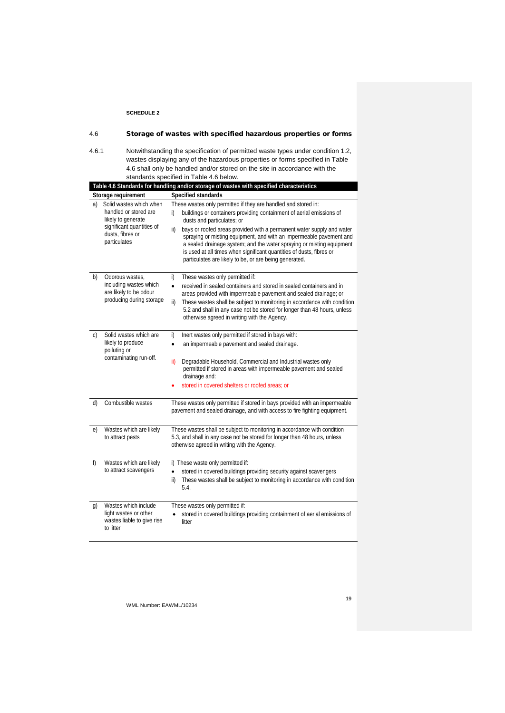| 4.6   |                                                                                                                                         | Storage of wastes with specified hazardous properties or forms                                                                                                                                                                                                                                                                                                                                                                                                                                                                               |
|-------|-----------------------------------------------------------------------------------------------------------------------------------------|----------------------------------------------------------------------------------------------------------------------------------------------------------------------------------------------------------------------------------------------------------------------------------------------------------------------------------------------------------------------------------------------------------------------------------------------------------------------------------------------------------------------------------------------|
| 4.6.1 |                                                                                                                                         | Notwithstanding the specification of permitted waste types under condition 1.2,<br>wastes displaying any of the hazardous properties or forms specified in Table<br>4.6 shall only be handled and/or stored on the site in accordance with the<br>standards specified in Table 4.6 below.                                                                                                                                                                                                                                                    |
|       |                                                                                                                                         | Table 4.6 Standards for handling and/or storage of wastes with specified characteristics                                                                                                                                                                                                                                                                                                                                                                                                                                                     |
|       | Storage requirement                                                                                                                     | Specified standards                                                                                                                                                                                                                                                                                                                                                                                                                                                                                                                          |
| a)    | Solid wastes which when<br>handled or stored are<br>likely to generate<br>significant quantities of<br>dusts, fibres or<br>particulates | These wastes only permitted if they are handled and stored in:<br>buildings or containers providing containment of aerial emissions of<br>i)<br>dusts and particulates; or<br>bays or roofed areas provided with a permanent water supply and water<br>ii)<br>spraying or misting equipment, and with an impermeable pavement and<br>a sealed drainage system; and the water spraying or misting equipment<br>is used at all times when significant quantities of dusts, fibres or<br>particulates are likely to be, or are being generated. |
| b)    | Odorous wastes,<br>including wastes which<br>are likely to be odour<br>producing during storage                                         | These wastes only permitted if:<br>i)<br>$\bullet$<br>received in sealed containers and stored in sealed containers and in<br>areas provided with impermeable pavement and sealed drainage; or<br>These wastes shall be subject to monitoring in accordance with condition<br>ii)<br>5.2 and shall in any case not be stored for longer than 48 hours, unless<br>otherwise agreed in writing with the Agency.                                                                                                                                |
| C)    | Solid wastes which are<br>likely to produce<br>polluting or<br>contaminating run-off.                                                   | i)<br>Inert wastes only permitted if stored in bays with:<br>an impermeable pavement and sealed drainage.<br>$\bullet$<br>ii)<br>Degradable Household, Commercial and Industrial wastes only<br>permitted if stored in areas with impermeable pavement and sealed<br>drainage and:<br>stored in covered shelters or roofed areas: or                                                                                                                                                                                                         |
| d)    | Combustible wastes                                                                                                                      | These wastes only permitted if stored in bays provided with an impermeable<br>pavement and sealed drainage, and with access to fire fighting equipment.                                                                                                                                                                                                                                                                                                                                                                                      |
| e)    | Wastes which are likely<br>to attract pests                                                                                             | These wastes shall be subject to monitoring in accordance with condition<br>5.3, and shall in any case not be stored for longer than 48 hours, unless<br>otherwise agreed in writing with the Agency.                                                                                                                                                                                                                                                                                                                                        |
| f)    | Wastes which are likely<br>to attract scavengers                                                                                        | i) These waste only permitted if:<br>stored in covered buildings providing security against scavengers<br>$\bullet$<br>These wastes shall be subject to monitoring in accordance with condition<br>ii)<br>5.4.                                                                                                                                                                                                                                                                                                                               |
| g)    | Wastes which include<br>light wastes or other<br>wastes liable to give rise<br>to litter                                                | These wastes only permitted if:<br>stored in covered buildings providing containment of aerial emissions of<br>litter                                                                                                                                                                                                                                                                                                                                                                                                                        |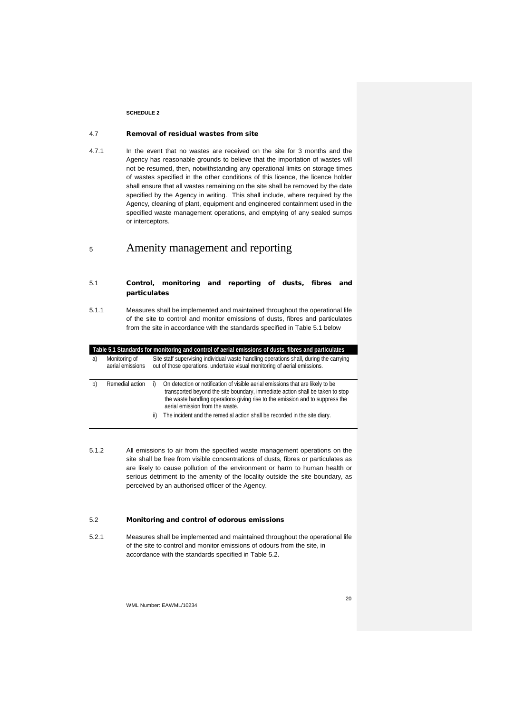### 4.7 Removal of residual wastes from site

4.7.1 In the event that no wastes are received on the site for 3 months and the Agency has reasonable grounds to believe that the importation of wastes will not be resumed, then, notwithstanding any operational limits on storage times of wastes specified in the other conditions of this licence, the licence holder shall ensure that all wastes remaining on the site shall be removed by the date specified by the Agency in writing. This shall include, where required by the Agency, cleaning of plant, equipment and engineered containment used in the specified waste management operations, and emptying of any sealed sumps or interceptors.

# <sup>5</sup> Amenity management and reporting

- 5.1 Control, monitoring and reporting of dusts, fibres and particulates
- 5.1.1 Measures shall be implemented and maintained throughout the operational life of the site to control and monitor emissions of dusts, fibres and particulates from the site in accordance with the standards specified in Table 5.1 below

| Table 5.1 Standards for monitoring and control of aerial emissions of dusts, fibres and particulates |  |  |
|------------------------------------------------------------------------------------------------------|--|--|
|                                                                                                      |  |  |
|                                                                                                      |  |  |
|                                                                                                      |  |  |

a) Monitoring of aerial emissions Site staff supervising individual waste handling operations shall, during the carrying out of those operations, undertake visual monitoring of aerial emissions.

| b) | Remedial action i) | On detection or notification of visible aerial emissions that are likely to be |
|----|--------------------|--------------------------------------------------------------------------------|
|    |                    | transported beyond the site boundary, immediate action shall be taken to stop  |
|    |                    | the waste handling operations giving rise to the emission and to suppress the  |
|    |                    | aerial emission from the waste.                                                |
|    |                    |                                                                                |

- ii) The incident and the remedial action shall be recorded in the site diary.
- 5.1.2 All emissions to air from the specified waste management operations on the site shall be free from visible concentrations of dusts, fibres or particulates as are likely to cause pollution of the environment or harm to human health or serious detriment to the amenity of the locality outside the site boundary, as perceived by an authorised officer of the Agency.

#### 5.2 Monitoring and control of odorous emissions

5.2.1 Measures shall be implemented and maintained throughout the operational life of the site to control and monitor emissions of odours from the site, in accordance with the standards specified in Table 5.2.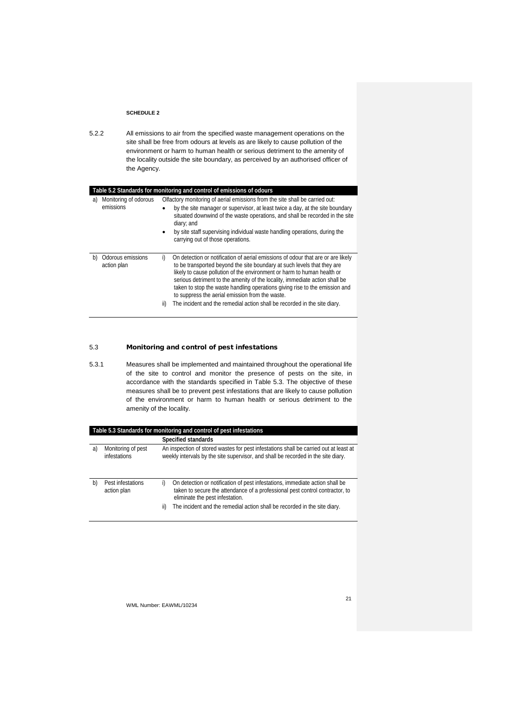5.2.2 All emissions to air from the specified waste management operations on the site shall be free from odours at levels as are likely to cause pollution of the environment or harm to human health or serious detriment to the amenity of the locality outside the site boundary, as perceived by an authorised officer of the Agency.

| Table 5.2 Standards for monitoring and control of emissions of odours |           |                                                                                                                                                                                                                                                                                                                                                                                                                                                                                                                                      |  |  |  |
|-----------------------------------------------------------------------|-----------|--------------------------------------------------------------------------------------------------------------------------------------------------------------------------------------------------------------------------------------------------------------------------------------------------------------------------------------------------------------------------------------------------------------------------------------------------------------------------------------------------------------------------------------|--|--|--|
| Monitoring of odorous<br>a)                                           |           | Olfactory monitoring of aerial emissions from the site shall be carried out:                                                                                                                                                                                                                                                                                                                                                                                                                                                         |  |  |  |
| emissions                                                             |           | by the site manager or supervisor, at least twice a day, at the site boundary<br>situated downwind of the waste operations, and shall be recorded in the site<br>diary; and                                                                                                                                                                                                                                                                                                                                                          |  |  |  |
|                                                                       |           | by site staff supervising individual waste handling operations, during the<br>carrying out of those operations.                                                                                                                                                                                                                                                                                                                                                                                                                      |  |  |  |
| Odorous emissions<br>b)<br>action plan                                | i)<br>ii) | On detection or notification of aerial emissions of odour that are or are likely<br>to be transported beyond the site boundary at such levels that they are<br>likely to cause pollution of the environment or harm to human health or<br>serious detriment to the amenity of the locality, immediate action shall be<br>taken to stop the waste handling operations giving rise to the emission and<br>to suppress the aerial emission from the waste.<br>The incident and the remedial action shall be recorded in the site diary. |  |  |  |

# 5.3 Monitoring and control of pest infestations

5.3.1 Measures shall be implemented and maintained throughout the operational life of the site to control and monitor the presence of pests on the site, in accordance with the standards specified in Table 5.3. The objective of these measures shall be to prevent pest infestations that are likely to cause pollution of the environment or harm to human health or serious detriment to the amenity of the locality.

| Table 5.3 Standards for monitoring and control of pest infestations |                                    |                                                                                                                                                                                                                                                                                           |  |  |
|---------------------------------------------------------------------|------------------------------------|-------------------------------------------------------------------------------------------------------------------------------------------------------------------------------------------------------------------------------------------------------------------------------------------|--|--|
|                                                                     | Specified standards                |                                                                                                                                                                                                                                                                                           |  |  |
| a)                                                                  | Monitoring of pest<br>infestations | An inspection of stored wastes for pest infestations shall be carried out at least at<br>weekly intervals by the site supervisor, and shall be recorded in the site diary.                                                                                                                |  |  |
| b)                                                                  | Pest infestations<br>action plan   | On detection or notification of pest infestations, immediate action shall be<br>i)<br>taken to secure the attendance of a professional pest control contractor, to<br>eliminate the pest infestation.<br>The incident and the remedial action shall be recorded in the site diary.<br>ii) |  |  |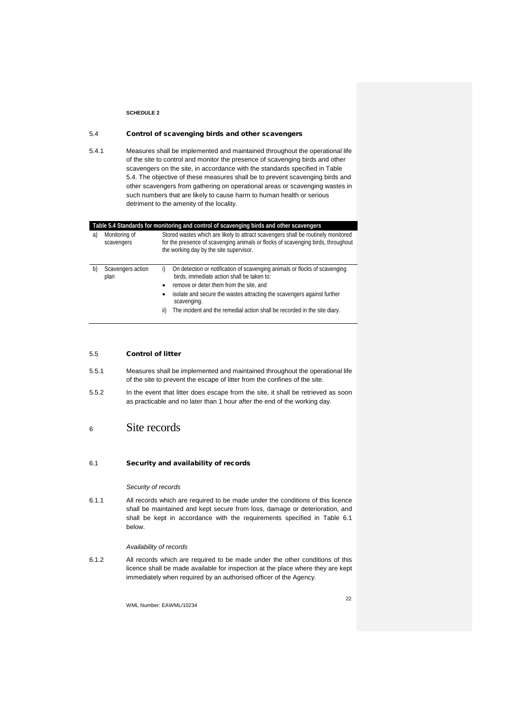# 5.4 Control of scavenging birds and other scavengers

5.4.1 Measures shall be implemented and maintained throughout the operational life of the site to control and monitor the presence of scavenging birds and other scavengers on the site, in accordance with the standards specified in Table 5.4. The objective of these measures shall be to prevent scavenging birds and other scavengers from gathering on operational areas or scavenging wastes in such numbers that are likely to cause harm to human health or serious detriment to the amenity of the locality.

| Table 5.4 Standards for monitoring and control of scavenging birds and other scavengers |                             |                                                                                                                                                                                                                  |                                                                                                                          |  |  |
|-----------------------------------------------------------------------------------------|-----------------------------|------------------------------------------------------------------------------------------------------------------------------------------------------------------------------------------------------------------|--------------------------------------------------------------------------------------------------------------------------|--|--|
| a)                                                                                      | Monitoring of<br>scavengers | Stored wastes which are likely to attract scavengers shall be routinely monitored<br>for the presence of scavenging animals or flocks of scavenging birds, throughout<br>the working day by the site supervisor. |                                                                                                                          |  |  |
| b)                                                                                      | Scavengers action<br>plan   | i)                                                                                                                                                                                                               | On detection or notification of scavenging animals or flocks of scavenging<br>birds, immediate action shall be taken to: |  |  |
|                                                                                         |                             | $\bullet$                                                                                                                                                                                                        | remove or deter them from the site, and                                                                                  |  |  |
|                                                                                         |                             |                                                                                                                                                                                                                  | isolate and secure the wastes attracting the scavengers against further<br>scavenging.                                   |  |  |
|                                                                                         |                             | ii)                                                                                                                                                                                                              | The incident and the remedial action shall be recorded in the site diary.                                                |  |  |

#### 5.5 Control of litter

- 5.5.1 Measures shall be implemented and maintained throughout the operational life of the site to prevent the escape of litter from the confines of the site.
- 5.5.2 In the event that litter does escape from the site, it shall be retrieved as soon as practicable and no later than 1 hour after the end of the working day.

# <sup>6</sup> Site records

#### 6.1 Security and availability of records

#### *Security of records*

6.1.1 All records which are required to be made under the conditions of this licence shall be maintained and kept secure from loss, damage or deterioration, and shall be kept in accordance with the requirements specified in Table 6.1 below.

#### *Availability of records*

6.1.2 All records which are required to be made under the other conditions of this licence shall be made available for inspection at the place where they are kept immediately when required by an authorised officer of the Agency.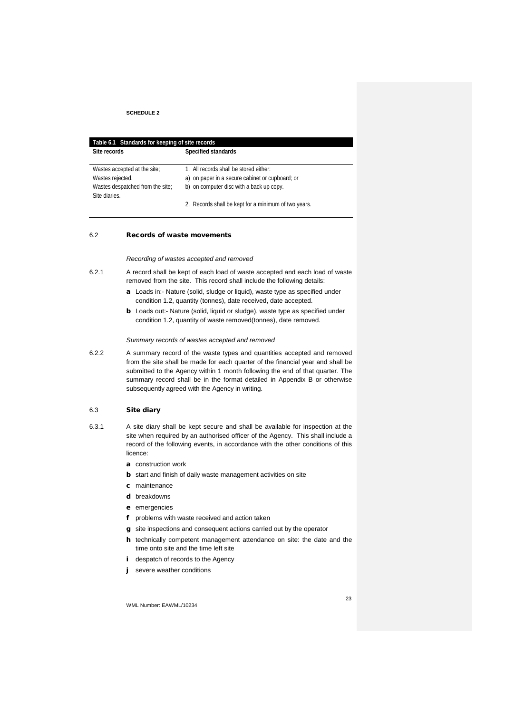| Table 6.1 Standards for keeping of site records |                                                      |  |  |  |
|-------------------------------------------------|------------------------------------------------------|--|--|--|
| Site records                                    | Specified standards                                  |  |  |  |
|                                                 |                                                      |  |  |  |
| Wastes accepted at the site:                    | 1. All records shall be stored either:               |  |  |  |
| Wastes rejected.                                | a) on paper in a secure cabinet or cupboard; or      |  |  |  |
| Wastes despatched from the site;                | b) on computer disc with a back up copy.             |  |  |  |
| Site diaries.                                   |                                                      |  |  |  |
|                                                 | 2. Records shall be kept for a minimum of two years. |  |  |  |

#### 6.2 Records of waste movements

#### *Recording of wastes accepted and removed*

- 6.2.1 A record shall be kept of each load of waste accepted and each load of waste removed from the site. This record shall include the following details:
	- a Loads in:- Nature (solid, sludge or liquid), waste type as specified under condition 1.2, quantity (tonnes), date received, date accepted.
	- b Loads out:- Nature (solid, liquid or sludge), waste type as specified under condition 1.2, quantity of waste removed(tonnes), date removed.

#### *Summary records of wastes accepted and removed*

6.2.2 A summary record of the waste types and quantities accepted and removed from the site shall be made for each quarter of the financial year and shall be submitted to the Agency within 1 month following the end of that quarter. The summary record shall be in the format detailed in Appendix B or otherwise subsequently agreed with the Agency in writing.

#### 6.3 Site diary

- 6.3.1 A site diary shall be kept secure and shall be available for inspection at the site when required by an authorised officer of the Agency. This shall include a record of the following events, in accordance with the other conditions of this licence:
	- a construction work
	- **b** start and finish of daily waste management activities on site
	- c maintenance
	- d breakdowns
	- e emergencies
	- f problems with waste received and action taken
	- g site inspections and consequent actions carried out by the operator
	- h technically competent management attendance on site: the date and the time onto site and the time left site
	- i despatch of records to the Agency
	- severe weather conditions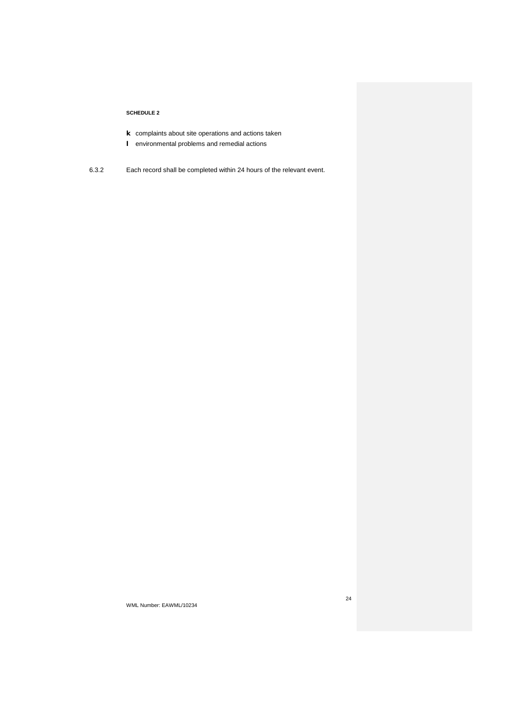- k complaints about site operations and actions taken
- l environmental problems and remedial actions
- 6.3.2 Each record shall be completed within 24 hours of the relevant event.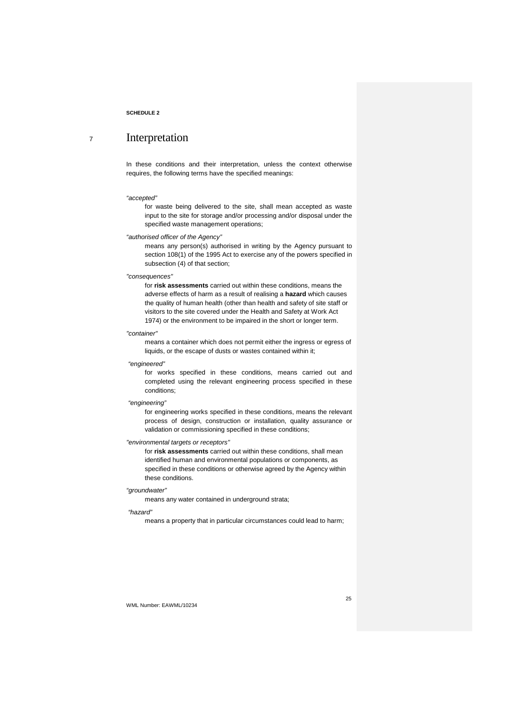# <sup>7</sup> Interpretation

In these conditions and their interpretation, unless the context otherwise requires, the following terms have the specified meanings:

#### *"accepted"*

for waste being delivered to the site, shall mean accepted as waste input to the site for storage and/or processing and/or disposal under the specified waste management operations;

#### *"authorised officer of the Agency"*

means any person(s) authorised in writing by the Agency pursuant to section 108(1) of the 1995 Act to exercise any of the powers specified in subsection (4) of that section;

#### *"consequences"*

for **risk assessments** carried out within these conditions, means the adverse effects of harm as a result of realising a **hazard** which causes the quality of human health (other than health and safety of site staff or visitors to the site covered under the Health and Safety at Work Act 1974) or the environment to be impaired in the short or longer term.

#### *"container"*

means a container which does not permit either the ingress or egress of liquids, or the escape of dusts or wastes contained within it;

#### *"engineered"*

for works specified in these conditions, means carried out and completed using the relevant engineering process specified in these conditions;

#### *"engineering"*

for engineering works specified in these conditions, means the relevant process of design, construction or installation, quality assurance or validation or commissioning specified in these conditions;

### *"environmental targets or receptors"*

for **risk assessments** carried out within these conditions, shall mean identified human and environmental populations or components, as specified in these conditions or otherwise agreed by the Agency within these conditions.

### *"groundwater"*

means any water contained in underground strata;

#### *"hazard"*

means a property that in particular circumstances could lead to harm;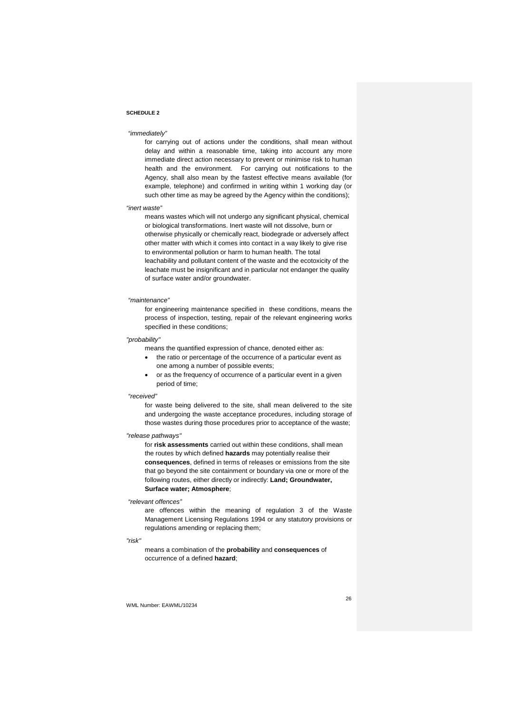#### *"immediately"*

for carrying out of actions under the conditions, shall mean without delay and within a reasonable time, taking into account any more immediate direct action necessary to prevent or minimise risk to human health and the environment. For carrying out notifications to the Agency, shall also mean by the fastest effective means available (for example, telephone) and confirmed in writing within 1 working day (or such other time as may be agreed by the Agency within the conditions);

#### *"inert waste"*

means wastes which will not undergo any significant physical, chemical or biological transformations. Inert waste will not dissolve, burn or otherwise physically or chemically react, biodegrade or adversely affect other matter with which it comes into contact in a way likely to give rise to environmental pollution or harm to human health. The total leachability and pollutant content of the waste and the ecotoxicity of the leachate must be insignificant and in particular not endanger the quality of surface water and/or groundwater.

#### *"maintenance"*

for engineering maintenance specified in these conditions, means the process of inspection, testing, repair of the relevant engineering works specified in these conditions;

### *"probability"*

means the quantified expression of chance, denoted either as:

- the ratio or percentage of the occurrence of a particular event as one among a number of possible events;
- or as the frequency of occurrence of a particular event in a given period of time;

#### *"received"*

for waste being delivered to the site, shall mean delivered to the site and undergoing the waste acceptance procedures, including storage of those wastes during those procedures prior to acceptance of the waste;

#### *"release pathways"*

for **risk assessments** carried out within these conditions, shall mean the routes by which defined **hazards** may potentially realise their **consequences**, defined in terms of releases or emissions from the site that go beyond the site containment or boundary via one or more of the following routes, either directly or indirectly: **Land; Groundwater, Surface water; Atmosphere**;

#### *"relevant offences"*

are offences within the meaning of regulation 3 of the Waste Management Licensing Regulations 1994 or any statutory provisions or regulations amending or replacing them;

#### *"risk"*

means a combination of the **probability** and **consequences** of occurrence of a defined **hazard**;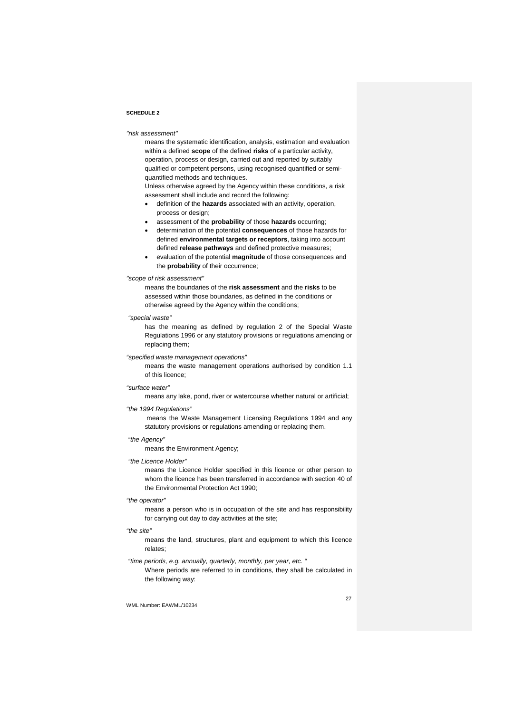#### *"risk assessment"*

means the systematic identification, analysis, estimation and evaluation within a defined **scope** of the defined **risks** of a particular activity, operation, process or design, carried out and reported by suitably qualified or competent persons, using recognised quantified or semiquantified methods and techniques.

Unless otherwise agreed by the Agency within these conditions, a risk assessment shall include and record the following:

- definition of the **hazards** associated with an activity, operation, process or design;
- assessment of the **probability** of those **hazards** occurring;
- determination of the potential **consequences** of those hazards for defined **environmental targets or receptors**, taking into account defined **release pathways** and defined protective measures;
- evaluation of the potential **magnitude** of those consequences and the **probability** of their occurrence;

#### *"scope of risk assessment"*

means the boundaries of the **risk assessment** and the **risks** to be assessed within those boundaries, as defined in the conditions or otherwise agreed by the Agency within the conditions;

#### *"special waste"*

has the meaning as defined by regulation 2 of the Special Waste Regulations 1996 or any statutory provisions or regulations amending or replacing them;

#### *"specified waste management operations"*

means the waste management operations authorised by condition 1.1 of this licence;

#### *"surface water"*

means any lake, pond, river or watercourse whether natural or artificial;

#### *"the 1994 Regulations"*

means the Waste Management Licensing Regulations 1994 and any statutory provisions or regulations amending or replacing them.

# *"the Agency"*

means the Environment Agency;

#### *"the Licence Holder"*

means the Licence Holder specified in this licence or other person to whom the licence has been transferred in accordance with section 40 of the Environmental Protection Act 1990;

### *"the operator"*

means a person who is in occupation of the site and has responsibility for carrying out day to day activities at the site;

#### *"the site"*

means the land, structures, plant and equipment to which this licence relates;

*"time periods, e.g. annually, quarterly, monthly, per year, etc. "*

Where periods are referred to in conditions, they shall be calculated in the following way: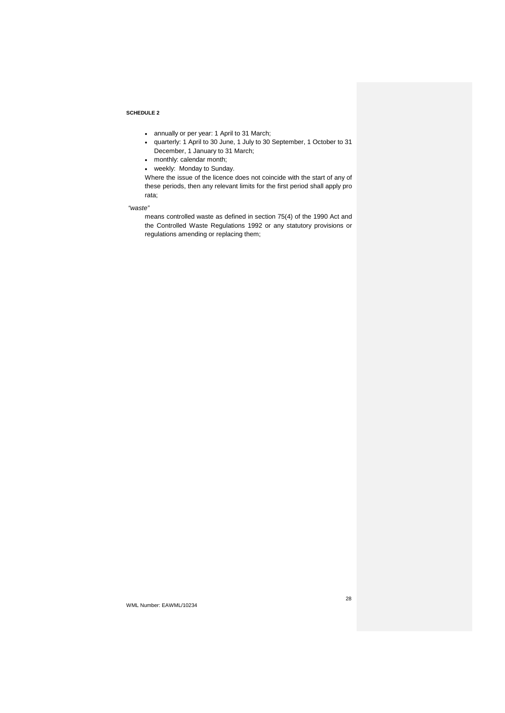- annually or per year: 1 April to 31 March;
- quarterly: 1 April to 30 June, 1 July to 30 September, 1 October to 31 December, 1 January to 31 March;
- monthly: calendar month;
- weekly: Monday to Sunday.

Where the issue of the licence does not coincide with the start of any of these periods, then any relevant limits for the first period shall apply pro rata;

### *"waste"*

means controlled waste as defined in section 75(4) of the 1990 Act and the Controlled Waste Regulations 1992 or any statutory provisions or regulations amending or replacing them;